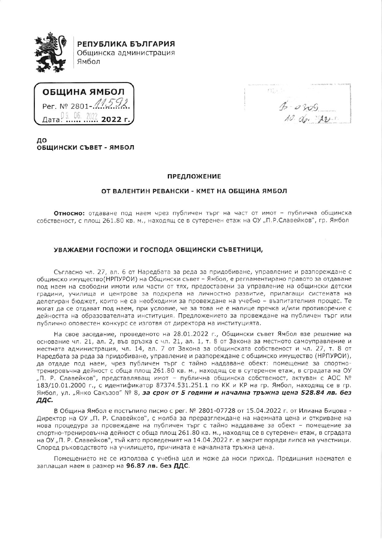

РЕПУБЛИКА БЪЛГАРИЯ Общинска администрация Ямбол

ОБЩИНА ЯМБОЛ Per. Nº 2801-11592 Дата<sup>0 9</sup> 06 2022 **2022 г** 

 $(11.1)$  $15 - 0309$ <br>10. do. 22.5

ДΟ ОБШИНСКИ СЪВЕТ - ЯМБОЛ

## **ПРЕДЛОЖЕНИЕ**

## ОТ ВАЛЕНТИН РЕВАНСКИ - КМЕТ НА ОБЩИНА ЯМБОЛ

Относно: отдаване под наем чрез публичен търг на част от имот - публична общинска собственост, с площ 261.80 кв. м., находящ се в сутеренен етаж на ОУ "П.Р.Славейков", гр. Ямбол

## УВАЖАЕМИ ГОСПОЖИ И ГОСПОДА ОБЩИНСКИ СЪВЕТНИЦИ,

Съгласно чл. 27, ал. 6 от Наредбата за реда за придобиване, управление и разпореждане с общинско имущество(НРПУРОИ) на Общински съвет - Ямбол, е регламентирано правото за отдаване под наем на свободни имоти или части от тях, предоставени за управление на общински детски градини, училища и центрове за подкрепа на личностно развитие, прилагащи системата на делегиран бюджет, които не са необходими за провеждане на учебно - възпитателния процес. Те могат да се отдават под наем, при условие, че за това не е налице пречка и/или противоречие с дейността на образователната институция. Предложението за провеждане на публичен търг или публично оповестен конкурс се изготвя от директора на институцията.

На свое заседание, проведеното на 28.01.2022 г., Общински съвет Ямбол взе решение на основание чл. 21, ал. 2, във връзка с чл. 21, ал. 1, т. 8 от Закона за местното самоуправление и местната администрация, чл. 14, ал. 7 от Закона за общинската собственост и чл. 27, т. 8 от Наредбата за реда за придобиване, управление и разпореждане с общинско имущество (НРПУРОИ), да отдаде под наем, чрез публичен търг с тайно наддаване обект: помещение за спортнотренировъчна дейност с обща площ 261.80 кв. м., находящ се в сутеренен етаж, в сградата на ОУ "П. Р. Славейков", представляващ имот - публична общинска собственост, актуван с АОС № 183/10.01.2000 г., с идентификатор 87374.531.251.1 по КК и КР на гр. Ямбол, находящ се в гр. Ямбол, ул. "Янко Сакъзов" № 8, за срок от 5 години и начална тръжна цена 528.84 лв. без ддс.

В Община Ямбол е постъпило писмо с рег. № 2801-07728 от 15.04.2022 г. от Илиана Бицова -Директор на ОУ "П. Р. Славейков", с молба за преразглеждане на наемната цена и откриване на нова процедура за провеждане на публичен търг с тайно наддаване за обект - помещение за спортно-тренировъчна дейност с обща площ 261.80 кв. м., находящ се в сутеренен етаж, в сградата на ОУ "П. Р. Славейков", тъй като проведеният на 14.04.2022 г. е закрит поради липса на участници. Според ръководството на училището, причината е началната тръжна цена.

Помещението не се използва с учебна цел и може да носи приход. Предишния наемател е заплащал наем в размер на 96.87 лв. без ДДС.